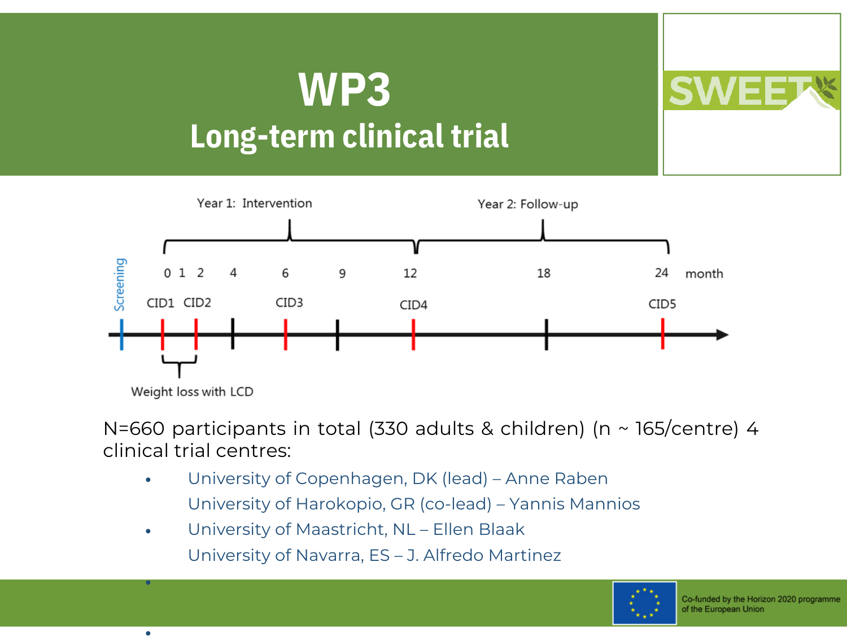## **Long-term clinical trial WP3**



N=660 participants in total (330 adults & children) (n  $\sim$  165/centre) 4 clinical trial centres:

- University of Copenhagen, DK (lead) Anne Raben University of Harokopio, GR (co-lead) – Yannis Mannios •
- University of Maastricht, NL Ellen Blaak University of Navarra, ES – J. Alfredo Martinez •

•

•

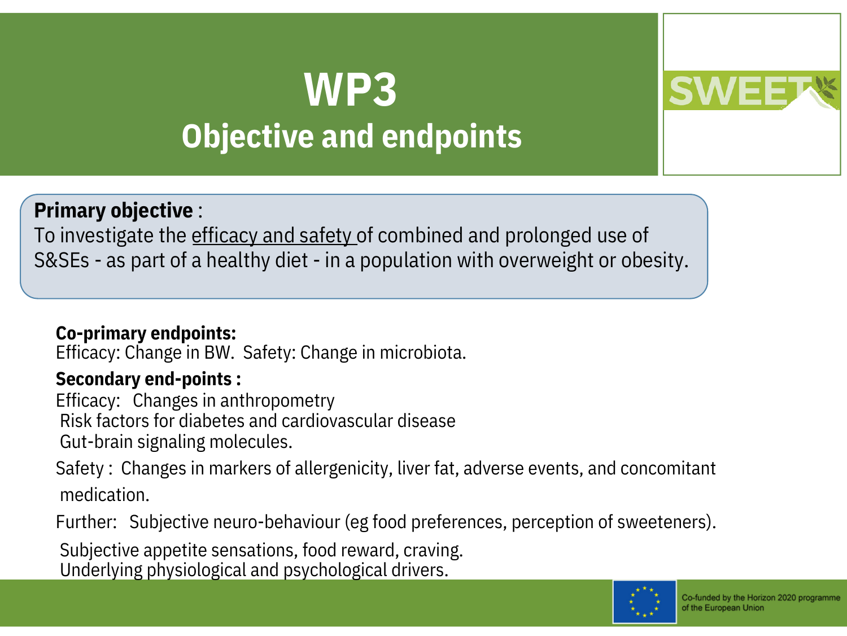## **Objective and endpoints WP3**



## **Primary objective** :

To investigate the efficacy and safety of combined and prolonged use of S&SEs - as part of a healthy diet - in a population with overweight or obesity.

## **Co-primary endpoints:**

Efficacy: Change in BW. Safety: Change in microbiota.

## **Secondary end-points :**

Efficacy: Changes in anthropometry Risk factors for diabetes and cardiovascular disease Gut-brain signaling molecules.

Safety : Changes in markers of allergenicity, liver fat, adverse events, and concomitant medication.

Further: Subjective neuro-behaviour (eg food preferences, perception of sweeteners).

Subjective appetite sensations, food reward, craving. Underlying physiological and psychological drivers.

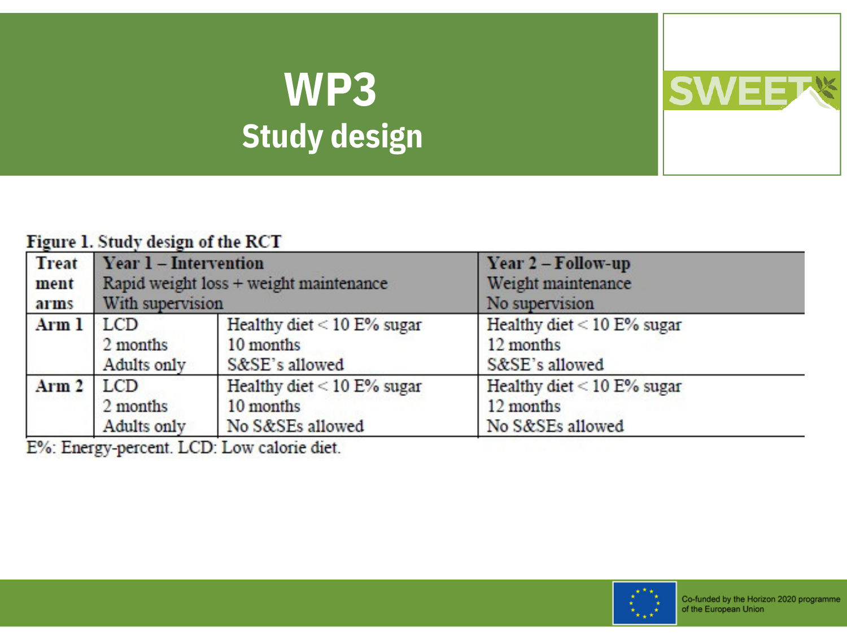# **WP3 Study design**

#### Figure 1. Study design of the RCT

| <b>Treat</b>     | Year 1 - Intervention                  |                               | Year 2 - Follow-up           |
|------------------|----------------------------------------|-------------------------------|------------------------------|
| ment             | Rapid weight loss + weight maintenance |                               | Weight maintenance           |
| arms             | With supervision                       |                               | No supervision               |
| Arm 1            | <b>LCD</b>                             | Healthy diet $< 10 E\%$ sugar | Healthy diet $<$ 10 E% sugar |
|                  | 2 months                               | 10 months                     | 12 months                    |
|                  | Adults only                            | S&SE's allowed                | S&SE's allowed               |
| Arm <sub>2</sub> | LCD.                                   | Healthy diet $<$ 10 E% sugar  | Healthy diet $< 10 E%$ sugar |
|                  | 2 months                               | 10 months                     | 12 months                    |
|                  | Adults only                            | No S&SEs allowed              | No S&SEs allowed             |

E%: Energy-percent. LCD: Low calorie diet.



**SWEET**